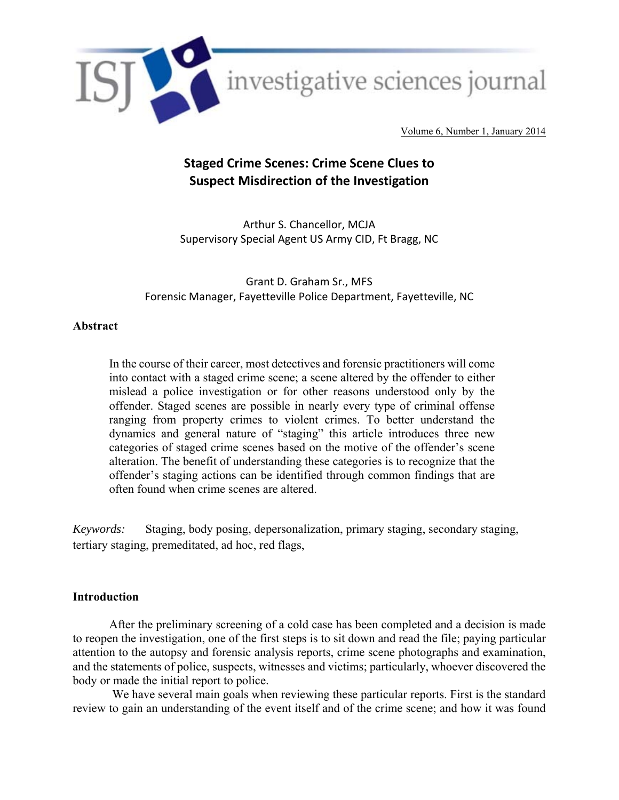

Volume 6, Number 1, January 2014

# **Staged Crime Scenes: Crime Scene Clues to Suspect Misdirection of the Investigation**

Arthur S. Chancellor, MCJA Supervisory Special Agent US Army CID, Ft Bragg, NC

Grant D. Graham Sr., MFS Forensic Manager, Fayetteville Police Department, Fayetteville, NC

## **Abstract**

In the course of their career, most detectives and forensic practitioners will come into contact with a staged crime scene; a scene altered by the offender to either mislead a police investigation or for other reasons understood only by the offender. Staged scenes are possible in nearly every type of criminal offense ranging from property crimes to violent crimes. To better understand the dynamics and general nature of "staging" this article introduces three new categories of staged crime scenes based on the motive of the offender's scene alteration. The benefit of understanding these categories is to recognize that the offender's staging actions can be identified through common findings that are often found when crime scenes are altered.

*Keywords:* Staging, body posing, depersonalization, primary staging, secondary staging, tertiary staging, premeditated, ad hoc, red flags,

## **Introduction**

After the preliminary screening of a cold case has been completed and a decision is made to reopen the investigation, one of the first steps is to sit down and read the file; paying particular attention to the autopsy and forensic analysis reports, crime scene photographs and examination, and the statements of police, suspects, witnesses and victims; particularly, whoever discovered the body or made the initial report to police.

 We have several main goals when reviewing these particular reports. First is the standard review to gain an understanding of the event itself and of the crime scene; and how it was found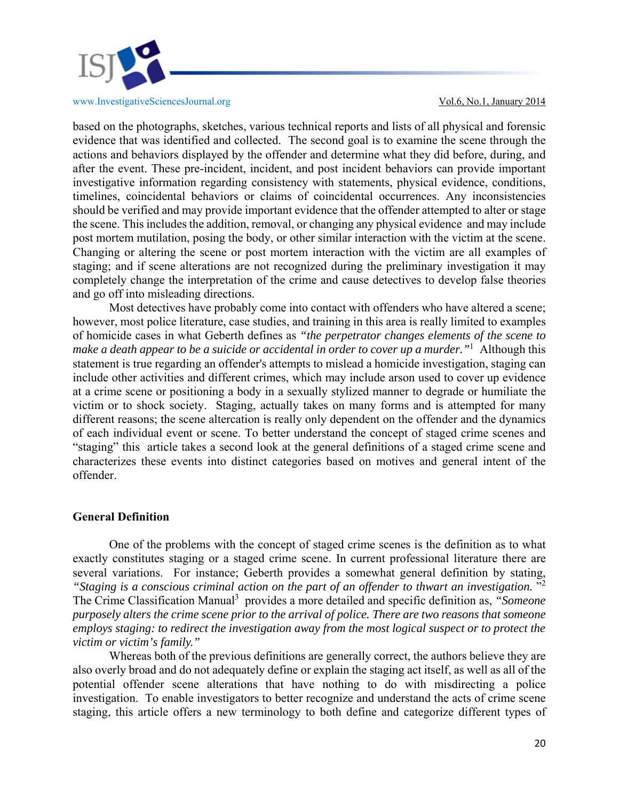

based on the photographs, sketches, various technical reports and lists of all physical and forensic evidence that was identified and collected. The second goal is to examine the scene through the actions and behaviors displayed by the offender and determine what they did before, during, and after the event. These pre-incident, incident, and post incident behaviors can provide important investigative information regarding consistency with statements, physical evidence, conditions, timelines, coincidental behaviors or claims of coincidental occurrences. Any inconsistencies should be verified and may provide important evidence that the offender attempted to alter or stage the scene. This includes the addition, removal, or changing any physical evidence and may include post mortem mutilation, posing the body, or other similar interaction with the victim at the scene. Changing or altering the scene or post mortem interaction with the victim are all examples of staging; and if scene alterations are not recognized during the preliminary investigation it may completely change the interpretation of the crime and cause detectives to develop false theories and go off into misleading directions.

Most detectives have probably come into contact with offenders who have altered a scene; however, most police literature, case studies, and training in this area is really limited to examples of homicide cases in what Geberth defines as *"the perpetrator changes elements of the scene to*  make a death appear to be a suicide or accidental in order to cover up a murder."<sup>1</sup> Although this statement is true regarding an offender's attempts to mislead a homicide investigation, staging can include other activities and different crimes, which may include arson used to cover up evidence at a crime scene or positioning a body in a sexually stylized manner to degrade or humiliate the victim or to shock society. Staging, actually takes on many forms and is attempted for many different reasons; the scene altercation is really only dependent on the offender and the dynamics of each individual event or scene. To better understand the concept of staged crime scenes and "staging" this article takes a second look at the general definitions of a staged crime scene and characterizes these events into distinct categories based on motives and general intent of the offender.

### **General Definition**

One of the problems with the concept of staged crime scenes is the definition as to what exactly constitutes staging or a staged crime scene. In current professional literature there are several variations. For instance; Geberth provides a somewhat general definition by stating, *"Staging is a conscious criminal action on the part of an offender to thwart an investigation.* "<sup>2</sup> The Crime Classification Manual<sup>3</sup> provides a more detailed and specific definition as, "Someone *purposely alters the crime scene prior to the arrival of police. There are two reasons that someone employs staging: to redirect the investigation away from the most logical suspect or to protect the victim or victim's family."*

Whereas both of the previous definitions are generally correct, the authors believe they are also overly broad and do not adequately define or explain the staging act itself, as well as all of the potential offender scene alterations that have nothing to do with misdirecting a police investigation. To enable investigators to better recognize and understand the acts of crime scene staging, this article offers a new terminology to both define and categorize different types of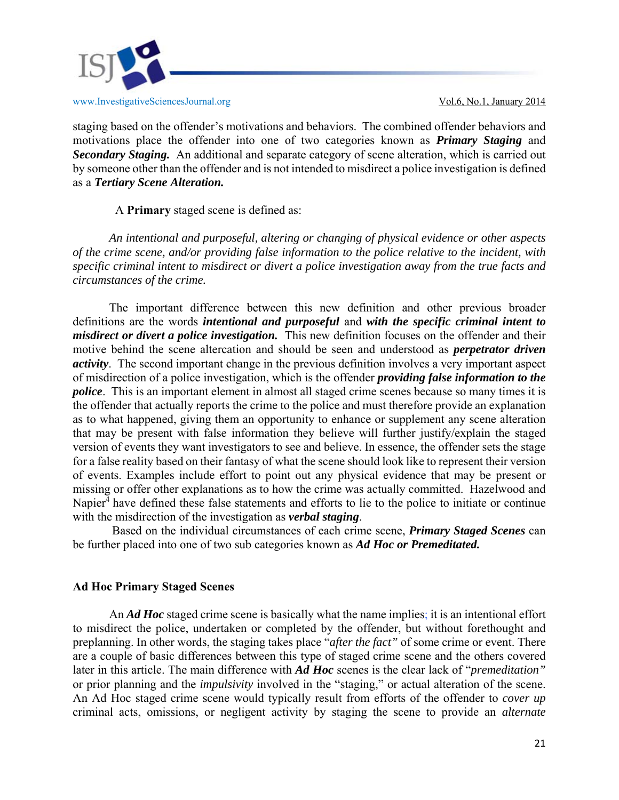staging based on the offender's motivations and behaviors. The combined offender behaviors and motivations place the offender into one of two categories known as *Primary Staging* and *Secondary Staging.* An additional and separate category of scene alteration, which is carried out by someone other than the offender and is not intended to misdirect a police investigation is defined as a *Tertiary Scene Alteration.*

A **Primary** staged scene is defined as:

*An intentional and purposeful, altering or changing of physical evidence or other aspects of the crime scene, and/or providing false information to the police relative to the incident, with specific criminal intent to misdirect or divert a police investigation away from the true facts and circumstances of the crime.* 

The important difference between this new definition and other previous broader definitions are the words *intentional and purposeful* and *with the specific criminal intent to misdirect or divert a police investigation.* This new definition focuses on the offender and their motive behind the scene altercation and should be seen and understood as *perpetrator driven activity*. The second important change in the previous definition involves a very important aspect of misdirection of a police investigation, which is the offender *providing false information to the police*. This is an important element in almost all staged crime scenes because so many times it is the offender that actually reports the crime to the police and must therefore provide an explanation as to what happened, giving them an opportunity to enhance or supplement any scene alteration that may be present with false information they believe will further justify/explain the staged version of events they want investigators to see and believe. In essence, the offender sets the stage for a false reality based on their fantasy of what the scene should look like to represent their version of events. Examples include effort to point out any physical evidence that may be present or missing or offer other explanations as to how the crime was actually committed. Hazelwood and Napier<sup>4</sup> have defined these false statements and efforts to lie to the police to initiate or continue with the misdirection of the investigation as *verbal staging*.

 Based on the individual circumstances of each crime scene, *Primary Staged Scenes* can be further placed into one of two sub categories known as *Ad Hoc or Premeditated.*

## **Ad Hoc Primary Staged Scenes**

An *Ad Hoc* staged crime scene is basically what the name implies; it is an intentional effort to misdirect the police, undertaken or completed by the offender, but without forethought and preplanning. In other words, the staging takes place "*after the fact"* of some crime or event. There are a couple of basic differences between this type of staged crime scene and the others covered later in this article. The main difference with *Ad Hoc* scenes is the clear lack of "*premeditation"* or prior planning and the *impulsivity* involved in the "staging," or actual alteration of the scene. An Ad Hoc staged crime scene would typically result from efforts of the offender to *cover up* criminal acts, omissions, or negligent activity by staging the scene to provide an *alternate*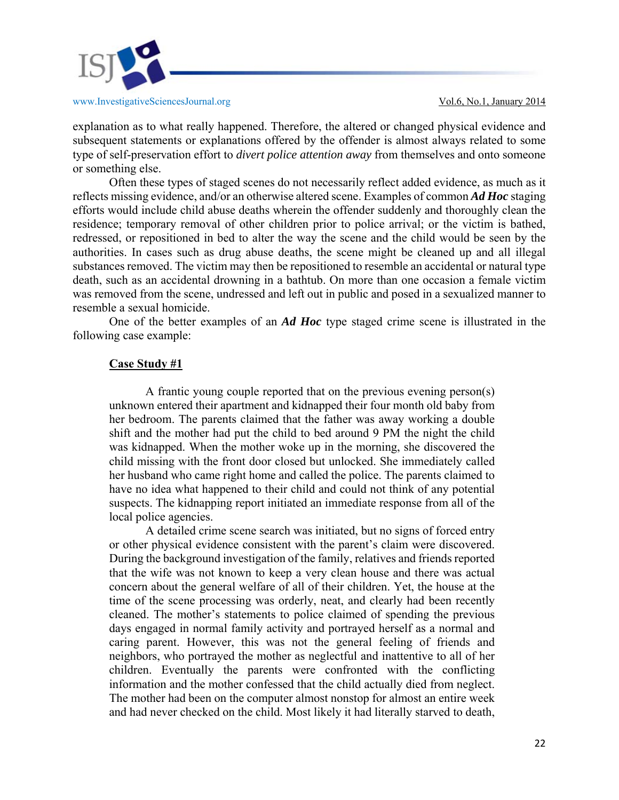

explanation as to what really happened. Therefore, the altered or changed physical evidence and subsequent statements or explanations offered by the offender is almost always related to some type of self-preservation effort to *divert police attention away* from themselves and onto someone or something else.

Often these types of staged scenes do not necessarily reflect added evidence, as much as it reflects missing evidence, and/or an otherwise altered scene. Examples of common *Ad Hoc* staging efforts would include child abuse deaths wherein the offender suddenly and thoroughly clean the residence; temporary removal of other children prior to police arrival; or the victim is bathed, redressed, or repositioned in bed to alter the way the scene and the child would be seen by the authorities. In cases such as drug abuse deaths, the scene might be cleaned up and all illegal substances removed. The victim may then be repositioned to resemble an accidental or natural type death, such as an accidental drowning in a bathtub. On more than one occasion a female victim was removed from the scene, undressed and left out in public and posed in a sexualized manner to resemble a sexual homicide.

One of the better examples of an *Ad Hoc* type staged crime scene is illustrated in the following case example:

## **Case Study #1**

A frantic young couple reported that on the previous evening person(s) unknown entered their apartment and kidnapped their four month old baby from her bedroom. The parents claimed that the father was away working a double shift and the mother had put the child to bed around 9 PM the night the child was kidnapped. When the mother woke up in the morning, she discovered the child missing with the front door closed but unlocked. She immediately called her husband who came right home and called the police. The parents claimed to have no idea what happened to their child and could not think of any potential suspects. The kidnapping report initiated an immediate response from all of the local police agencies.

A detailed crime scene search was initiated, but no signs of forced entry or other physical evidence consistent with the parent's claim were discovered. During the background investigation of the family, relatives and friends reported that the wife was not known to keep a very clean house and there was actual concern about the general welfare of all of their children. Yet, the house at the time of the scene processing was orderly, neat, and clearly had been recently cleaned. The mother's statements to police claimed of spending the previous days engaged in normal family activity and portrayed herself as a normal and caring parent. However, this was not the general feeling of friends and neighbors, who portrayed the mother as neglectful and inattentive to all of her children. Eventually the parents were confronted with the conflicting information and the mother confessed that the child actually died from neglect. The mother had been on the computer almost nonstop for almost an entire week and had never checked on the child. Most likely it had literally starved to death,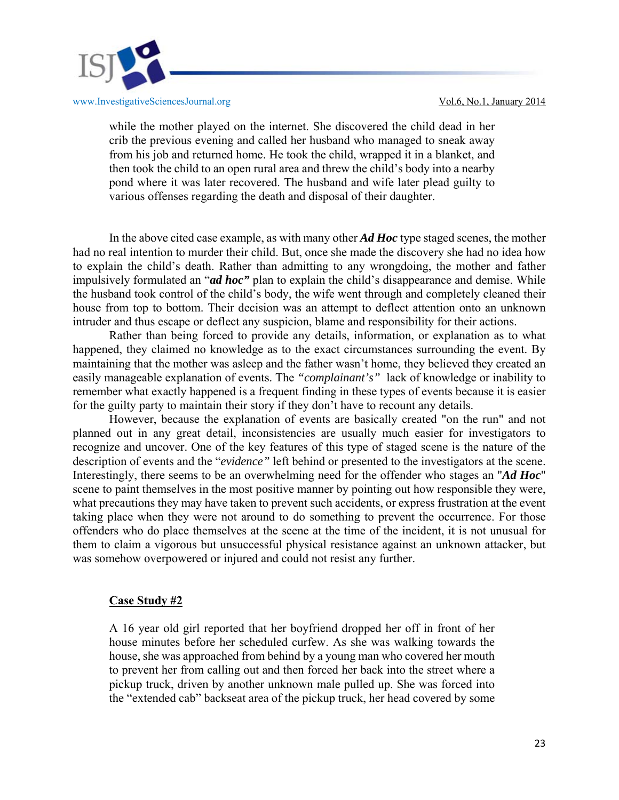

while the mother played on the internet. She discovered the child dead in her crib the previous evening and called her husband who managed to sneak away from his job and returned home. He took the child, wrapped it in a blanket, and then took the child to an open rural area and threw the child's body into a nearby pond where it was later recovered. The husband and wife later plead guilty to various offenses regarding the death and disposal of their daughter.

In the above cited case example, as with many other *Ad Hoc* type staged scenes, the mother had no real intention to murder their child. But, once she made the discovery she had no idea how to explain the child's death. Rather than admitting to any wrongdoing, the mother and father impulsively formulated an "*ad hoc"* plan to explain the child's disappearance and demise. While the husband took control of the child's body, the wife went through and completely cleaned their house from top to bottom. Their decision was an attempt to deflect attention onto an unknown intruder and thus escape or deflect any suspicion, blame and responsibility for their actions.

 Rather than being forced to provide any details, information, or explanation as to what happened, they claimed no knowledge as to the exact circumstances surrounding the event. By maintaining that the mother was asleep and the father wasn't home, they believed they created an easily manageable explanation of events. The *"complainant's"* lack of knowledge or inability to remember what exactly happened is a frequent finding in these types of events because it is easier for the guilty party to maintain their story if they don't have to recount any details.

 However, because the explanation of events are basically created "on the run" and not planned out in any great detail, inconsistencies are usually much easier for investigators to recognize and uncover. One of the key features of this type of staged scene is the nature of the description of events and the "*evidence"* left behind or presented to the investigators at the scene. Interestingly, there seems to be an overwhelming need for the offender who stages an "*Ad Hoc*" scene to paint themselves in the most positive manner by pointing out how responsible they were, what precautions they may have taken to prevent such accidents, or express frustration at the event taking place when they were not around to do something to prevent the occurrence. For those offenders who do place themselves at the scene at the time of the incident, it is not unusual for them to claim a vigorous but unsuccessful physical resistance against an unknown attacker, but was somehow overpowered or injured and could not resist any further.

### **Case Study #2**

A 16 year old girl reported that her boyfriend dropped her off in front of her house minutes before her scheduled curfew. As she was walking towards the house, she was approached from behind by a young man who covered her mouth to prevent her from calling out and then forced her back into the street where a pickup truck, driven by another unknown male pulled up. She was forced into the "extended cab" backseat area of the pickup truck, her head covered by some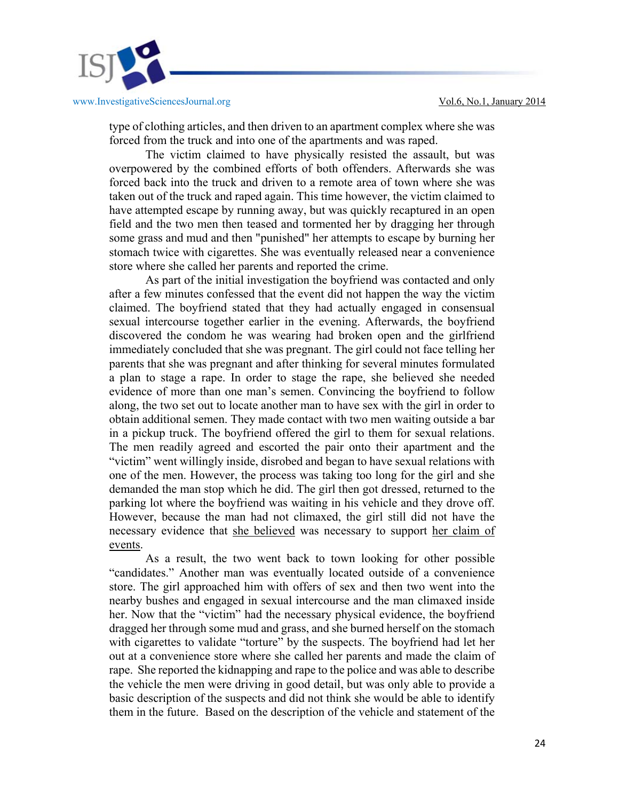

type of clothing articles, and then driven to an apartment complex where she was forced from the truck and into one of the apartments and was raped.

The victim claimed to have physically resisted the assault, but was overpowered by the combined efforts of both offenders. Afterwards she was forced back into the truck and driven to a remote area of town where she was taken out of the truck and raped again. This time however, the victim claimed to have attempted escape by running away, but was quickly recaptured in an open field and the two men then teased and tormented her by dragging her through some grass and mud and then "punished" her attempts to escape by burning her stomach twice with cigarettes. She was eventually released near a convenience store where she called her parents and reported the crime.

As part of the initial investigation the boyfriend was contacted and only after a few minutes confessed that the event did not happen the way the victim claimed. The boyfriend stated that they had actually engaged in consensual sexual intercourse together earlier in the evening. Afterwards, the boyfriend discovered the condom he was wearing had broken open and the girlfriend immediately concluded that she was pregnant. The girl could not face telling her parents that she was pregnant and after thinking for several minutes formulated a plan to stage a rape. In order to stage the rape, she believed she needed evidence of more than one man's semen. Convincing the boyfriend to follow along, the two set out to locate another man to have sex with the girl in order to obtain additional semen. They made contact with two men waiting outside a bar in a pickup truck. The boyfriend offered the girl to them for sexual relations. The men readily agreed and escorted the pair onto their apartment and the "victim" went willingly inside, disrobed and began to have sexual relations with one of the men. However, the process was taking too long for the girl and she demanded the man stop which he did. The girl then got dressed, returned to the parking lot where the boyfriend was waiting in his vehicle and they drove off. However, because the man had not climaxed, the girl still did not have the necessary evidence that she believed was necessary to support her claim of events.

As a result, the two went back to town looking for other possible "candidates." Another man was eventually located outside of a convenience store. The girl approached him with offers of sex and then two went into the nearby bushes and engaged in sexual intercourse and the man climaxed inside her. Now that the "victim" had the necessary physical evidence, the boyfriend dragged her through some mud and grass, and she burned herself on the stomach with cigarettes to validate "torture" by the suspects. The boyfriend had let her out at a convenience store where she called her parents and made the claim of rape. She reported the kidnapping and rape to the police and was able to describe the vehicle the men were driving in good detail, but was only able to provide a basic description of the suspects and did not think she would be able to identify them in the future. Based on the description of the vehicle and statement of the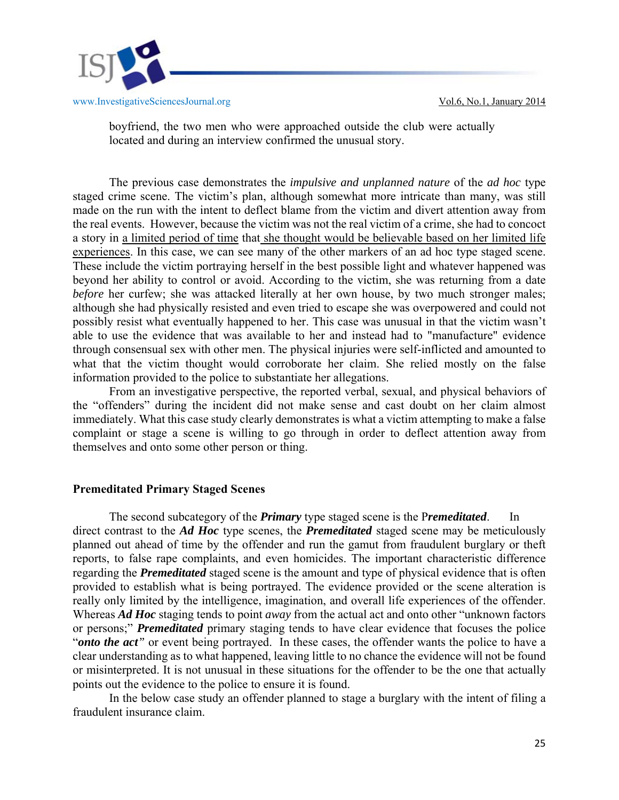

boyfriend, the two men who were approached outside the club were actually located and during an interview confirmed the unusual story.

The previous case demonstrates the *impulsive and unplanned nature* of the *ad hoc* type staged crime scene. The victim's plan, although somewhat more intricate than many, was still made on the run with the intent to deflect blame from the victim and divert attention away from the real events. However, because the victim was not the real victim of a crime, she had to concoct a story in a limited period of time that she thought would be believable based on her limited life experiences. In this case, we can see many of the other markers of an ad hoc type staged scene. These include the victim portraying herself in the best possible light and whatever happened was beyond her ability to control or avoid. According to the victim, she was returning from a date *before* her curfew; she was attacked literally at her own house, by two much stronger males; although she had physically resisted and even tried to escape she was overpowered and could not possibly resist what eventually happened to her. This case was unusual in that the victim wasn't able to use the evidence that was available to her and instead had to "manufacture" evidence through consensual sex with other men. The physical injuries were self-inflicted and amounted to what that the victim thought would corroborate her claim. She relied mostly on the false information provided to the police to substantiate her allegations.

From an investigative perspective, the reported verbal, sexual, and physical behaviors of the "offenders" during the incident did not make sense and cast doubt on her claim almost immediately. What this case study clearly demonstrates is what a victim attempting to make a false complaint or stage a scene is willing to go through in order to deflect attention away from themselves and onto some other person or thing.

### **Premeditated Primary Staged Scenes**

The second subcategory of the *Primary* type staged scene is the P*remeditated*. In direct contrast to the *Ad Hoc* type scenes, the *Premeditated* staged scene may be meticulously planned out ahead of time by the offender and run the gamut from fraudulent burglary or theft reports, to false rape complaints, and even homicides. The important characteristic difference regarding the *Premeditated* staged scene is the amount and type of physical evidence that is often provided to establish what is being portrayed. The evidence provided or the scene alteration is really only limited by the intelligence, imagination, and overall life experiences of the offender. Whereas *Ad Hoc* staging tends to point *away* from the actual act and onto other "unknown factors or persons;" *Premeditated* primary staging tends to have clear evidence that focuses the police "*onto the act"* or event being portrayed. In these cases, the offender wants the police to have a clear understanding as to what happened, leaving little to no chance the evidence will not be found or misinterpreted. It is not unusual in these situations for the offender to be the one that actually points out the evidence to the police to ensure it is found.

In the below case study an offender planned to stage a burglary with the intent of filing a fraudulent insurance claim.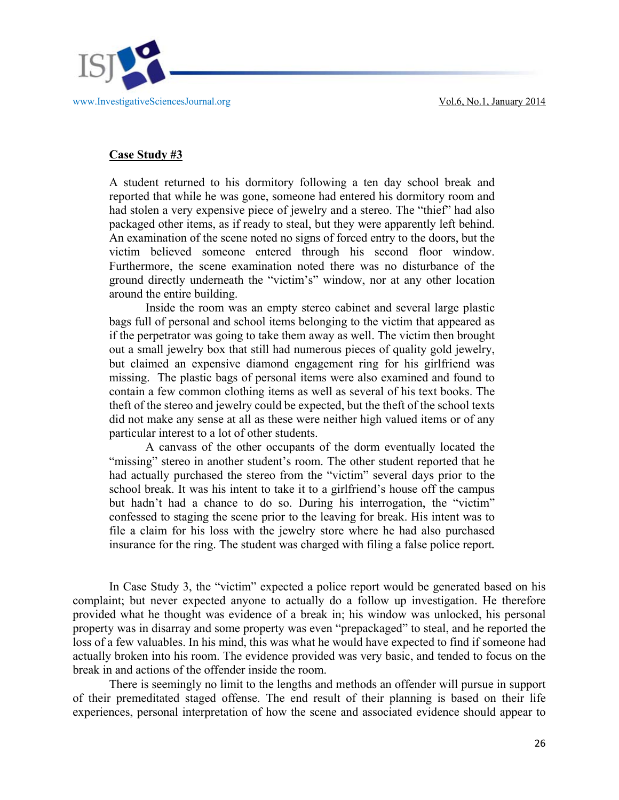

## **Case Study #3**

A student returned to his dormitory following a ten day school break and reported that while he was gone, someone had entered his dormitory room and had stolen a very expensive piece of jewelry and a stereo. The "thief" had also packaged other items, as if ready to steal, but they were apparently left behind. An examination of the scene noted no signs of forced entry to the doors, but the victim believed someone entered through his second floor window. Furthermore, the scene examination noted there was no disturbance of the ground directly underneath the "victim's" window, nor at any other location around the entire building.

Inside the room was an empty stereo cabinet and several large plastic bags full of personal and school items belonging to the victim that appeared as if the perpetrator was going to take them away as well. The victim then brought out a small jewelry box that still had numerous pieces of quality gold jewelry, but claimed an expensive diamond engagement ring for his girlfriend was missing. The plastic bags of personal items were also examined and found to contain a few common clothing items as well as several of his text books. The theft of the stereo and jewelry could be expected, but the theft of the school texts did not make any sense at all as these were neither high valued items or of any particular interest to a lot of other students.

A canvass of the other occupants of the dorm eventually located the "missing" stereo in another student's room. The other student reported that he had actually purchased the stereo from the "victim" several days prior to the school break. It was his intent to take it to a girlfriend's house off the campus but hadn't had a chance to do so. During his interrogation, the "victim" confessed to staging the scene prior to the leaving for break. His intent was to file a claim for his loss with the jewelry store where he had also purchased insurance for the ring. The student was charged with filing a false police report*.* 

In Case Study 3, the "victim" expected a police report would be generated based on his complaint; but never expected anyone to actually do a follow up investigation. He therefore provided what he thought was evidence of a break in; his window was unlocked, his personal property was in disarray and some property was even "prepackaged" to steal, and he reported the loss of a few valuables. In his mind, this was what he would have expected to find if someone had actually broken into his room. The evidence provided was very basic, and tended to focus on the break in and actions of the offender inside the room.

 There is seemingly no limit to the lengths and methods an offender will pursue in support of their premeditated staged offense. The end result of their planning is based on their life experiences, personal interpretation of how the scene and associated evidence should appear to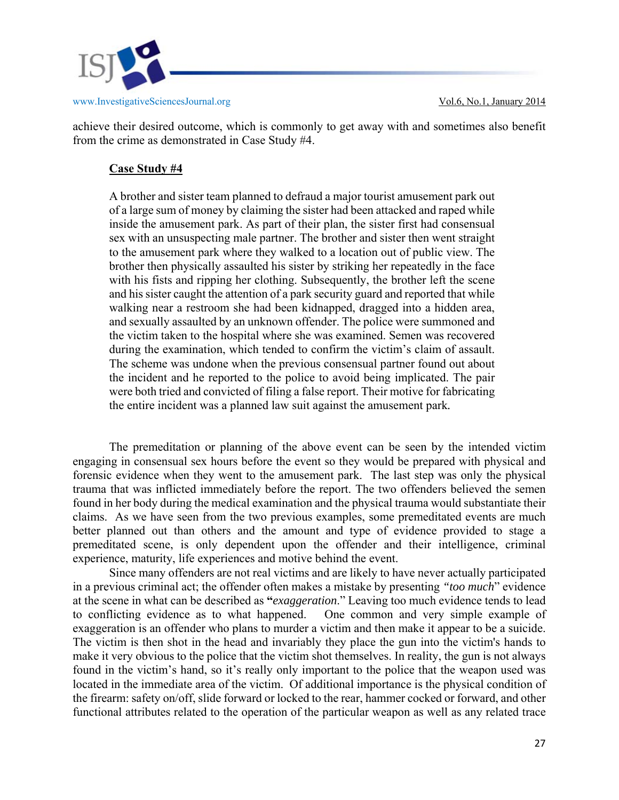

achieve their desired outcome, which is commonly to get away with and sometimes also benefit from the crime as demonstrated in Case Study #4.

# **Case Study #4**

A brother and sister team planned to defraud a major tourist amusement park out of a large sum of money by claiming the sister had been attacked and raped while inside the amusement park. As part of their plan, the sister first had consensual sex with an unsuspecting male partner. The brother and sister then went straight to the amusement park where they walked to a location out of public view. The brother then physically assaulted his sister by striking her repeatedly in the face with his fists and ripping her clothing. Subsequently, the brother left the scene and his sister caught the attention of a park security guard and reported that while walking near a restroom she had been kidnapped, dragged into a hidden area, and sexually assaulted by an unknown offender. The police were summoned and the victim taken to the hospital where she was examined. Semen was recovered during the examination, which tended to confirm the victim's claim of assault. The scheme was undone when the previous consensual partner found out about the incident and he reported to the police to avoid being implicated. The pair were both tried and convicted of filing a false report. Their motive for fabricating the entire incident was a planned law suit against the amusement park*.* 

The premeditation or planning of the above event can be seen by the intended victim engaging in consensual sex hours before the event so they would be prepared with physical and forensic evidence when they went to the amusement park. The last step was only the physical trauma that was inflicted immediately before the report. The two offenders believed the semen found in her body during the medical examination and the physical trauma would substantiate their claims. As we have seen from the two previous examples, some premeditated events are much better planned out than others and the amount and type of evidence provided to stage a premeditated scene, is only dependent upon the offender and their intelligence, criminal experience, maturity, life experiences and motive behind the event.

Since many offenders are not real victims and are likely to have never actually participated in a previous criminal act; the offender often makes a mistake by presenting *"too much*" evidence at the scene in what can be described as **"***exaggeration*." Leaving too much evidence tends to lead to conflicting evidence as to what happened. One common and very simple example of exaggeration is an offender who plans to murder a victim and then make it appear to be a suicide. The victim is then shot in the head and invariably they place the gun into the victim's hands to make it very obvious to the police that the victim shot themselves. In reality, the gun is not always found in the victim's hand, so it's really only important to the police that the weapon used was located in the immediate area of the victim. Of additional importance is the physical condition of the firearm: safety on/off, slide forward or locked to the rear, hammer cocked or forward, and other functional attributes related to the operation of the particular weapon as well as any related trace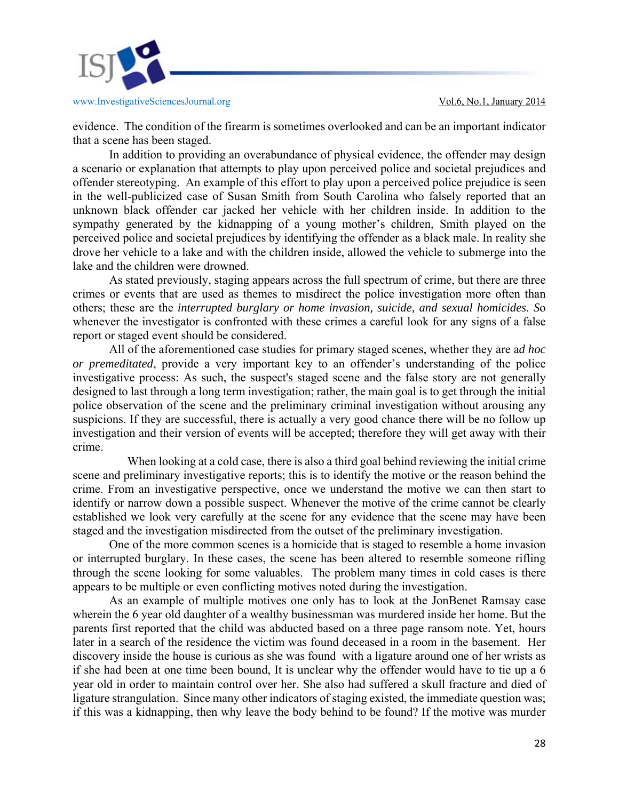

evidence. The condition of the firearm is sometimes overlooked and can be an important indicator that a scene has been staged.

In addition to providing an overabundance of physical evidence, the offender may design a scenario or explanation that attempts to play upon perceived police and societal prejudices and offender stereotyping. An example of this effort to play upon a perceived police prejudice is seen in the well-publicized case of Susan Smith from South Carolina who falsely reported that an unknown black offender car jacked her vehicle with her children inside. In addition to the sympathy generated by the kidnapping of a young mother's children, Smith played on the perceived police and societal prejudices by identifying the offender as a black male. In reality she drove her vehicle to a lake and with the children inside, allowed the vehicle to submerge into the lake and the children were drowned.

As stated previously, staging appears across the full spectrum of crime, but there are three crimes or events that are used as themes to misdirect the police investigation more often than others; these are the *interrupted burglary or home invasion, suicide, and sexual homicides. S*o whenever the investigator is confronted with these crimes a careful look for any signs of a false report or staged event should be considered.

All of the aforementioned case studies for primary staged scenes, whether they are a*d hoc or premeditated*, provide a very important key to an offender's understanding of the police investigative process: As such, the suspect's staged scene and the false story are not generally designed to last through a long term investigation; rather, the main goal is to get through the initial police observation of the scene and the preliminary criminal investigation without arousing any suspicions. If they are successful, there is actually a very good chance there will be no follow up investigation and their version of events will be accepted; therefore they will get away with their crime.

When looking at a cold case, there is also a third goal behind reviewing the initial crime scene and preliminary investigative reports; this is to identify the motive or the reason behind the crime. From an investigative perspective, once we understand the motive we can then start to identify or narrow down a possible suspect. Whenever the motive of the crime cannot be clearly established we look very carefully at the scene for any evidence that the scene may have been staged and the investigation misdirected from the outset of the preliminary investigation.

One of the more common scenes is a homicide that is staged to resemble a home invasion or interrupted burglary. In these cases, the scene has been altered to resemble someone rifling through the scene looking for some valuables. The problem many times in cold cases is there appears to be multiple or even conflicting motives noted during the investigation.

As an example of multiple motives one only has to look at the JonBenet Ramsay case wherein the 6 year old daughter of a wealthy businessman was murdered inside her home. But the parents first reported that the child was abducted based on a three page ransom note. Yet, hours later in a search of the residence the victim was found deceased in a room in the basement. Her discovery inside the house is curious as she was found with a ligature around one of her wrists as if she had been at one time been bound, It is unclear why the offender would have to tie up a 6 year old in order to maintain control over her. She also had suffered a skull fracture and died of ligature strangulation. Since many other indicators of staging existed, the immediate question was; if this was a kidnapping, then why leave the body behind to be found? If the motive was murder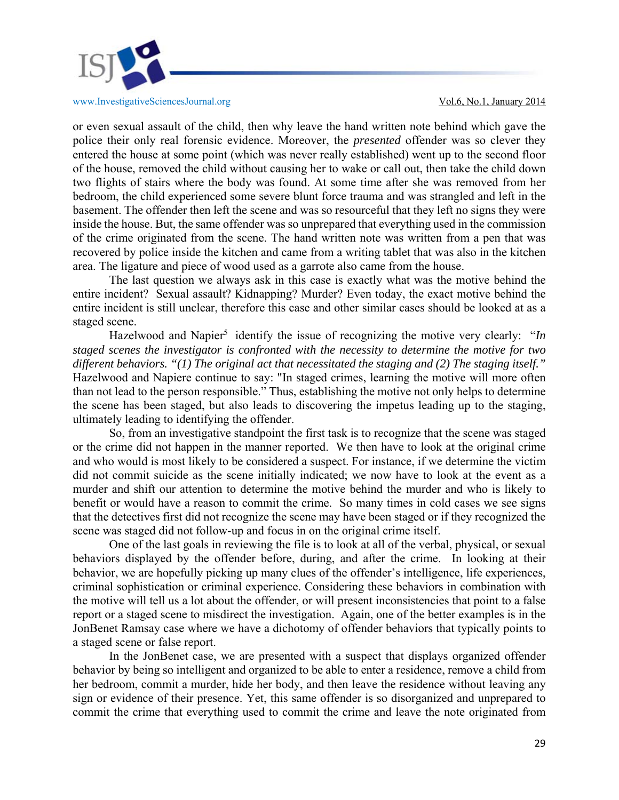or even sexual assault of the child, then why leave the hand written note behind which gave the police their only real forensic evidence. Moreover, the *presented* offender was so clever they entered the house at some point (which was never really established) went up to the second floor of the house, removed the child without causing her to wake or call out, then take the child down two flights of stairs where the body was found. At some time after she was removed from her bedroom, the child experienced some severe blunt force trauma and was strangled and left in the basement. The offender then left the scene and was so resourceful that they left no signs they were inside the house. But, the same offender was so unprepared that everything used in the commission of the crime originated from the scene. The hand written note was written from a pen that was recovered by police inside the kitchen and came from a writing tablet that was also in the kitchen area. The ligature and piece of wood used as a garrote also came from the house.

The last question we always ask in this case is exactly what was the motive behind the entire incident? Sexual assault? Kidnapping? Murder? Even today, the exact motive behind the entire incident is still unclear, therefore this case and other similar cases should be looked at as a staged scene.

Hazelwood and Napier<sup>5</sup> identify the issue of recognizing the motive very clearly: "*In staged scenes the investigator is confronted with the necessity to determine the motive for two different behaviors. "(1) The original act that necessitated the staging and (2) The staging itself."* Hazelwood and Napiere continue to say: "In staged crimes, learning the motive will more often than not lead to the person responsible." Thus, establishing the motive not only helps to determine the scene has been staged, but also leads to discovering the impetus leading up to the staging, ultimately leading to identifying the offender.

So, from an investigative standpoint the first task is to recognize that the scene was staged or the crime did not happen in the manner reported. We then have to look at the original crime and who would is most likely to be considered a suspect. For instance, if we determine the victim did not commit suicide as the scene initially indicated; we now have to look at the event as a murder and shift our attention to determine the motive behind the murder and who is likely to benefit or would have a reason to commit the crime. So many times in cold cases we see signs that the detectives first did not recognize the scene may have been staged or if they recognized the scene was staged did not follow-up and focus in on the original crime itself.

One of the last goals in reviewing the file is to look at all of the verbal, physical, or sexual behaviors displayed by the offender before, during, and after the crime. In looking at their behavior, we are hopefully picking up many clues of the offender's intelligence, life experiences, criminal sophistication or criminal experience. Considering these behaviors in combination with the motive will tell us a lot about the offender, or will present inconsistencies that point to a false report or a staged scene to misdirect the investigation. Again, one of the better examples is in the JonBenet Ramsay case where we have a dichotomy of offender behaviors that typically points to a staged scene or false report.

In the JonBenet case, we are presented with a suspect that displays organized offender behavior by being so intelligent and organized to be able to enter a residence, remove a child from her bedroom, commit a murder, hide her body, and then leave the residence without leaving any sign or evidence of their presence. Yet, this same offender is so disorganized and unprepared to commit the crime that everything used to commit the crime and leave the note originated from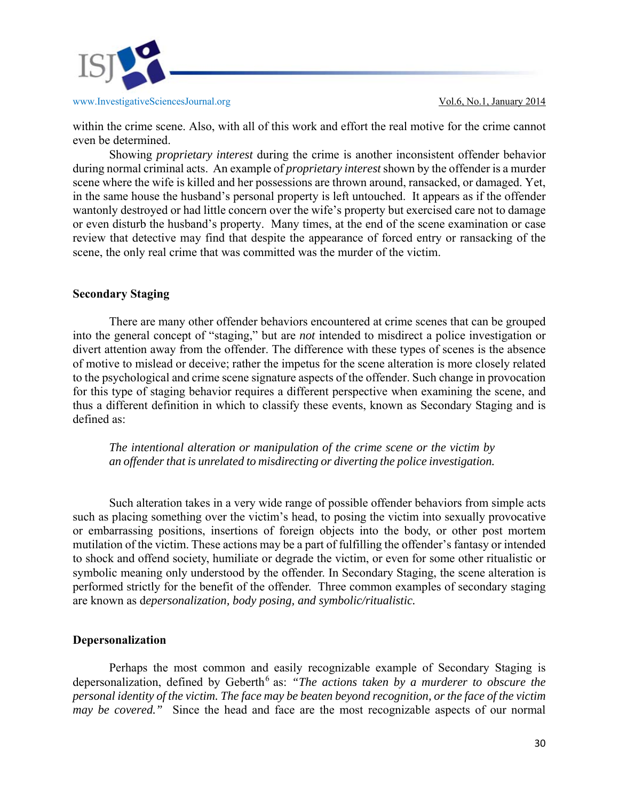

within the crime scene. Also, with all of this work and effort the real motive for the crime cannot even be determined.

Showing *proprietary interest* during the crime is another inconsistent offender behavior during normal criminal acts. An example of *proprietary interest* shown by the offender is a murder scene where the wife is killed and her possessions are thrown around, ransacked, or damaged. Yet, in the same house the husband's personal property is left untouched. It appears as if the offender wantonly destroyed or had little concern over the wife's property but exercised care not to damage or even disturb the husband's property. Many times, at the end of the scene examination or case review that detective may find that despite the appearance of forced entry or ransacking of the scene, the only real crime that was committed was the murder of the victim.

### **Secondary Staging**

There are many other offender behaviors encountered at crime scenes that can be grouped into the general concept of "staging," but are *not* intended to misdirect a police investigation or divert attention away from the offender. The difference with these types of scenes is the absence of motive to mislead or deceive; rather the impetus for the scene alteration is more closely related to the psychological and crime scene signature aspects of the offender. Such change in provocation for this type of staging behavior requires a different perspective when examining the scene, and thus a different definition in which to classify these events, known as Secondary Staging and is defined as:

*The intentional alteration or manipulation of the crime scene or the victim by an offender that is unrelated to misdirecting or diverting the police investigation.* 

Such alteration takes in a very wide range of possible offender behaviors from simple acts such as placing something over the victim's head, to posing the victim into sexually provocative or embarrassing positions, insertions of foreign objects into the body, or other post mortem mutilation of the victim. These actions may be a part of fulfilling the offender's fantasy or intended to shock and offend society, humiliate or degrade the victim, or even for some other ritualistic or symbolic meaning only understood by the offender. In Secondary Staging, the scene alteration is performed strictly for the benefit of the offender. Three common examples of secondary staging are known as d*epersonalization, body posing, and symbolic/ritualistic.* 

### **Depersonalization**

Perhaps the most common and easily recognizable example of Secondary Staging is depersonalization, defined by Geberth<sup>6</sup> as: "The actions taken by a murderer to obscure the *personal identity of the victim. The face may be beaten beyond recognition, or the face of the victim may be covered."* Since the head and face are the most recognizable aspects of our normal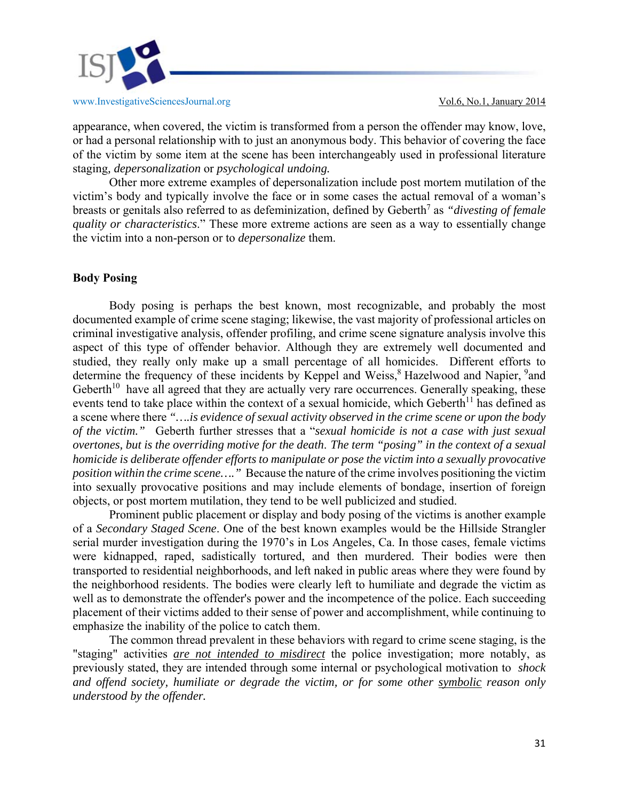

appearance, when covered, the victim is transformed from a person the offender may know, love, or had a personal relationship with to just an anonymous body. This behavior of covering the face of the victim by some item at the scene has been interchangeably used in professional literature staging*, depersonalization* or *psychological undoing.* 

Other more extreme examples of depersonalization include post mortem mutilation of the victim's body and typically involve the face or in some cases the actual removal of a woman's breasts or genitals also referred to as defeminization, defined by Geberth<sup>7</sup> as *"divesting of female quality or characteristics*." These more extreme actions are seen as a way to essentially change the victim into a non-person or to *depersonalize* them.

# **Body Posing**

Body posing is perhaps the best known, most recognizable, and probably the most documented example of crime scene staging; likewise, the vast majority of professional articles on criminal investigative analysis, offender profiling, and crime scene signature analysis involve this aspect of this type of offender behavior. Although they are extremely well documented and studied, they really only make up a small percentage of all homicides. Different efforts to determine the frequency of these incidents by Keppel and Weiss,<sup>8</sup> Hazelwood and Napier, <sup>9</sup>and Geberth<sup>10</sup> have all agreed that they are actually very rare occurrences. Generally speaking, these events tend to take place within the context of a sexual homicide, which Geberth<sup>11</sup> has defined as a scene where there *"….is evidence of sexual activity observed in the crime scene or upon the body of the victim."* Geberth further stresses that a "*sexual homicide is not a case with just sexual overtones, but is the overriding motive for the death*. *The term "posing" in the context of a sexual homicide is deliberate offender efforts to manipulate or pose the victim into a sexually provocative position within the crime scene…."* Because the nature of the crime involves positioning the victim into sexually provocative positions and may include elements of bondage, insertion of foreign objects, or post mortem mutilation, they tend to be well publicized and studied.

Prominent public placement or display and body posing of the victims is another example of a *Secondary Staged Scene*. One of the best known examples would be the Hillside Strangler serial murder investigation during the 1970's in Los Angeles, Ca. In those cases, female victims were kidnapped, raped, sadistically tortured, and then murdered. Their bodies were then transported to residential neighborhoods, and left naked in public areas where they were found by the neighborhood residents. The bodies were clearly left to humiliate and degrade the victim as well as to demonstrate the offender's power and the incompetence of the police. Each succeeding placement of their victims added to their sense of power and accomplishment, while continuing to emphasize the inability of the police to catch them.

The common thread prevalent in these behaviors with regard to crime scene staging, is the "staging" activities *are not intended to misdirect* the police investigation; more notably, as previously stated, they are intended through some internal or psychological motivation to *shock and offend society, humiliate or degrade the victim, or for some other symbolic reason only understood by the offender.*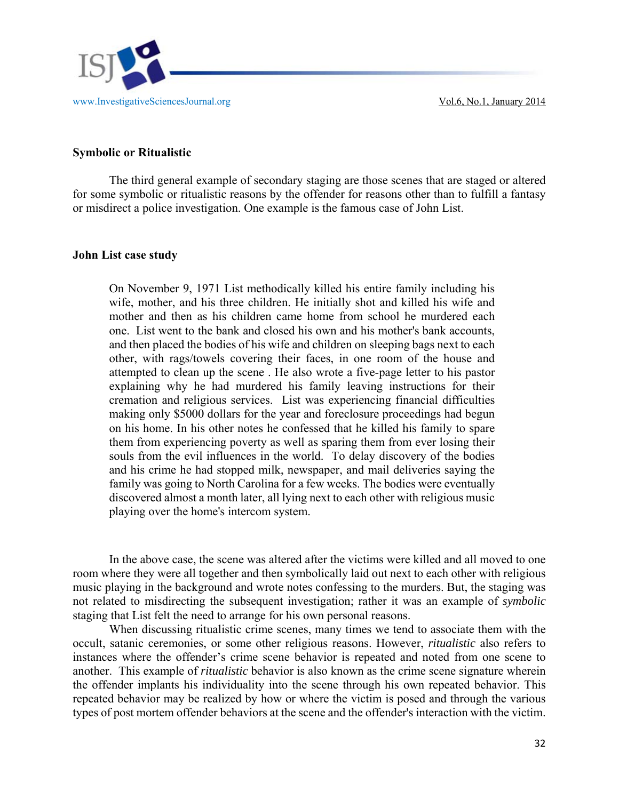

### **Symbolic or Ritualistic**

The third general example of secondary staging are those scenes that are staged or altered for some symbolic or ritualistic reasons by the offender for reasons other than to fulfill a fantasy or misdirect a police investigation. One example is the famous case of John List.

### **John List case study**

On November 9, 1971 List methodically killed his entire family including his wife, mother, and his three children. He initially shot and killed his wife and mother and then as his children came home from school he murdered each one. List went to the bank and closed his own and his mother's bank accounts, and then placed the bodies of his wife and children on sleeping bags next to each other, with rags/towels covering their faces, in one room of the house and attempted to clean up the scene . He also wrote a five-page letter to his pastor explaining why he had murdered his family leaving instructions for their cremation and religious services. List was experiencing financial difficulties making only \$5000 dollars for the year and foreclosure proceedings had begun on his home. In his other notes he confessed that he killed his family to spare them from experiencing poverty as well as sparing them from ever losing their souls from the evil influences in the world. To delay discovery of the bodies and his crime he had stopped milk, newspaper, and mail deliveries saying the family was going to North Carolina for a few weeks. The bodies were eventually discovered almost a month later, all lying next to each other with religious music playing over the home's intercom system.

In the above case, the scene was altered after the victims were killed and all moved to one room where they were all together and then symbolically laid out next to each other with religious music playing in the background and wrote notes confessing to the murders. But, the staging was not related to misdirecting the subsequent investigation; rather it was an example of *symbolic* staging that List felt the need to arrange for his own personal reasons.

When discussing ritualistic crime scenes, many times we tend to associate them with the occult, satanic ceremonies, or some other religious reasons. However, *ritualistic* also refers to instances where the offender's crime scene behavior is repeated and noted from one scene to another. This example of *ritualistic* behavior is also known as the crime scene signature wherein the offender implants his individuality into the scene through his own repeated behavior. This repeated behavior may be realized by how or where the victim is posed and through the various types of post mortem offender behaviors at the scene and the offender's interaction with the victim.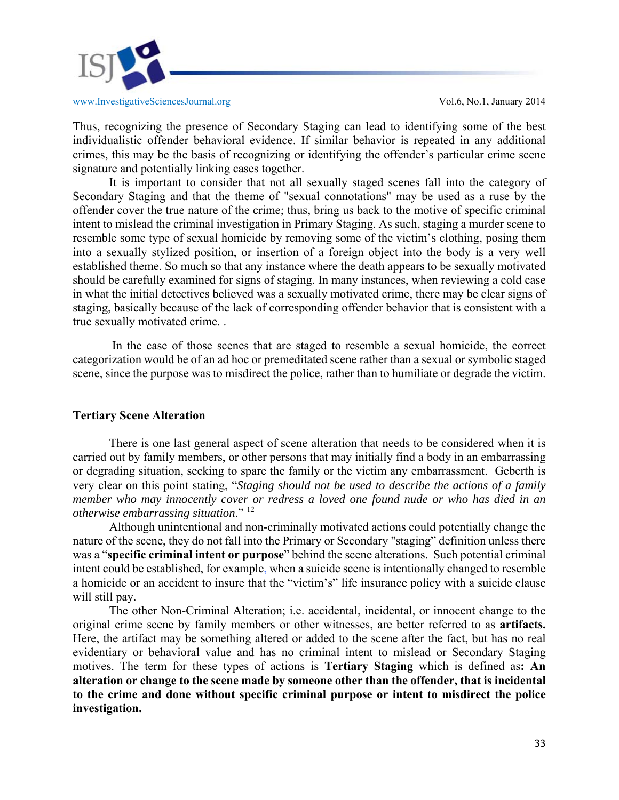

Thus, recognizing the presence of Secondary Staging can lead to identifying some of the best individualistic offender behavioral evidence. If similar behavior is repeated in any additional crimes, this may be the basis of recognizing or identifying the offender's particular crime scene signature and potentially linking cases together.

It is important to consider that not all sexually staged scenes fall into the category of Secondary Staging and that the theme of "sexual connotations" may be used as a ruse by the offender cover the true nature of the crime; thus, bring us back to the motive of specific criminal intent to mislead the criminal investigation in Primary Staging. As such, staging a murder scene to resemble some type of sexual homicide by removing some of the victim's clothing, posing them into a sexually stylized position, or insertion of a foreign object into the body is a very well established theme. So much so that any instance where the death appears to be sexually motivated should be carefully examined for signs of staging. In many instances, when reviewing a cold case in what the initial detectives believed was a sexually motivated crime, there may be clear signs of staging, basically because of the lack of corresponding offender behavior that is consistent with a true sexually motivated crime. .

 In the case of those scenes that are staged to resemble a sexual homicide, the correct categorization would be of an ad hoc or premeditated scene rather than a sexual or symbolic staged scene, since the purpose was to misdirect the police, rather than to humiliate or degrade the victim.

### **Tertiary Scene Alteration**

There is one last general aspect of scene alteration that needs to be considered when it is carried out by family members, or other persons that may initially find a body in an embarrassing or degrading situation, seeking to spare the family or the victim any embarrassment. Geberth is very clear on this point stating, "*Staging should not be used to describe the actions of a family member who may innocently cover or redress a loved one found nude or who has died in an otherwise embarrassing situation*." 12

Although unintentional and non-criminally motivated actions could potentially change the nature of the scene, they do not fall into the Primary or Secondary "staging" definition unless there was a "**specific criminal intent or purpose**" behind the scene alterations. Such potential criminal intent could be established, for example, when a suicide scene is intentionally changed to resemble a homicide or an accident to insure that the "victim's" life insurance policy with a suicide clause will still pay.

The other Non-Criminal Alteration; i.e. accidental, incidental, or innocent change to the original crime scene by family members or other witnesses, are better referred to as **artifacts.**  Here, the artifact may be something altered or added to the scene after the fact, but has no real evidentiary or behavioral value and has no criminal intent to mislead or Secondary Staging motives. The term for these types of actions is **Tertiary Staging** which is defined as**: An alteration or change to the scene made by someone other than the offender, that is incidental to the crime and done without specific criminal purpose or intent to misdirect the police investigation.**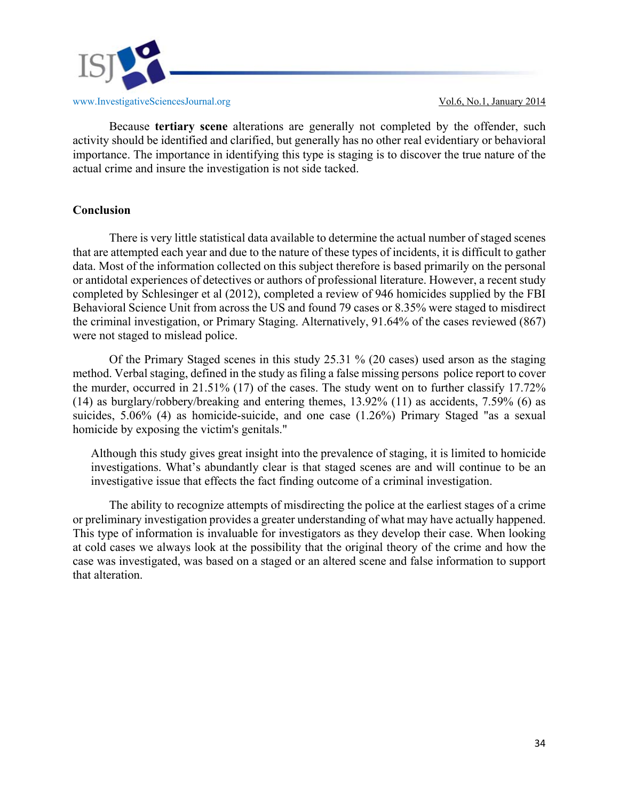

Because **tertiary scene** alterations are generally not completed by the offender, such activity should be identified and clarified, but generally has no other real evidentiary or behavioral importance. The importance in identifying this type is staging is to discover the true nature of the actual crime and insure the investigation is not side tacked.

## **Conclusion**

There is very little statistical data available to determine the actual number of staged scenes that are attempted each year and due to the nature of these types of incidents, it is difficult to gather data. Most of the information collected on this subject therefore is based primarily on the personal or antidotal experiences of detectives or authors of professional literature. However, a recent study completed by Schlesinger et al (2012), completed a review of 946 homicides supplied by the FBI Behavioral Science Unit from across the US and found 79 cases or 8.35% were staged to misdirect the criminal investigation, or Primary Staging. Alternatively, 91.64% of the cases reviewed (867) were not staged to mislead police.

Of the Primary Staged scenes in this study  $25.31\%$  (20 cases) used arson as the staging method. Verbal staging, defined in the study as filing a false missing persons police report to cover the murder, occurred in 21.51% (17) of the cases. The study went on to further classify 17.72% (14) as burglary/robbery/breaking and entering themes, 13.92% (11) as accidents, 7.59% (6) as suicides, 5.06% (4) as homicide-suicide, and one case (1.26%) Primary Staged "as a sexual homicide by exposing the victim's genitals."

Although this study gives great insight into the prevalence of staging, it is limited to homicide investigations. What's abundantly clear is that staged scenes are and will continue to be an investigative issue that effects the fact finding outcome of a criminal investigation.

The ability to recognize attempts of misdirecting the police at the earliest stages of a crime or preliminary investigation provides a greater understanding of what may have actually happened. This type of information is invaluable for investigators as they develop their case. When looking at cold cases we always look at the possibility that the original theory of the crime and how the case was investigated, was based on a staged or an altered scene and false information to support that alteration.